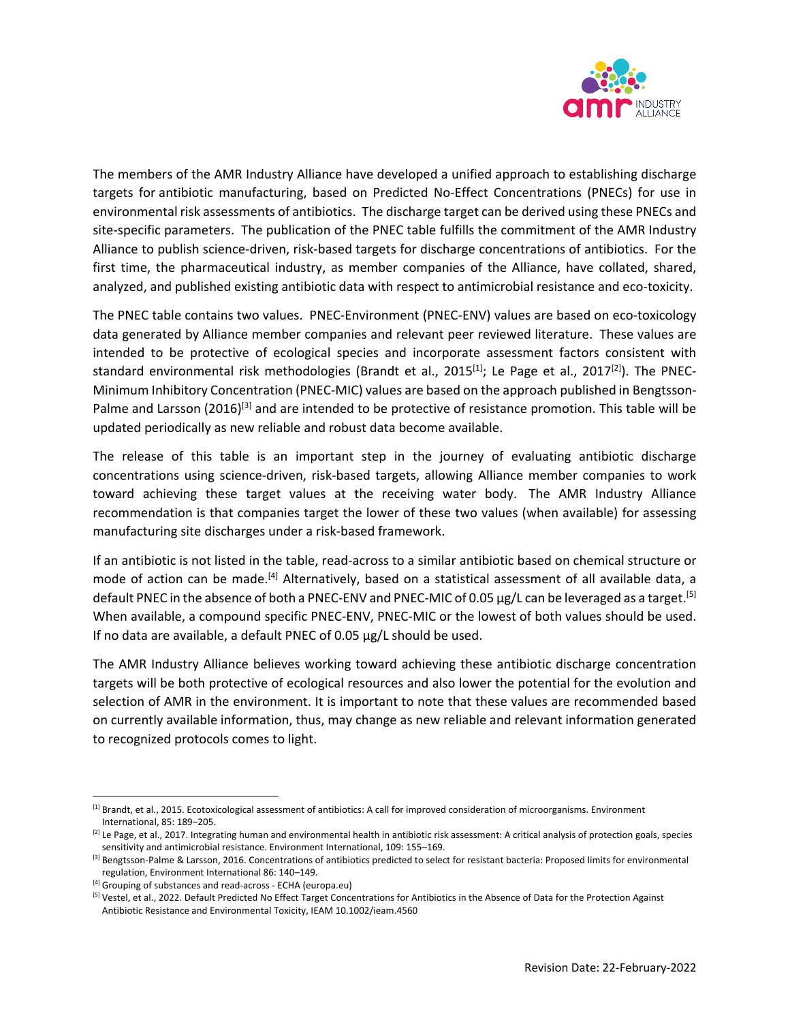

The members of the AMR Industry Alliance have developed a unified approach to establishing discharge targets for antibiotic manufacturing, based on Predicted No‐Effect Concentrations (PNECs) for use in environmental risk assessments of antibiotics. The discharge target can be derived using these PNECs and site-specific parameters. The publication of the PNEC table fulfills the commitment of the AMR Industry Alliance to publish science‐driven, risk‐based targets for discharge concentrations of antibiotics. For the first time, the pharmaceutical industry, as member companies of the Alliance, have collated, shared, analyzed, and published existing antibiotic data with respect to antimicrobial resistance and eco‐toxicity.

The PNEC table contains two values. PNEC‐Environment (PNEC‐ENV) values are based on eco‐toxicology data generated by Alliance member companies and relevant peer reviewed literature. These values are intended to be protective of ecological species and incorporate assessment factors consistent with standard environmental risk methodologies (Brandt et al., 2015 $^{[1]}$ ; Le Page et al., 2017 $^{[2]}$ ). The PNEC-Minimum Inhibitory Concentration (PNEC‐MIC) values are based on the approach published in Bengtsson‐ Palme and Larsson (2016)<sup>[3]</sup> and are intended to be protective of resistance promotion. This table will be updated periodically as new reliable and robust data become available.

The release of this table is an important step in the journey of evaluating antibiotic discharge concentrations using science‐driven, risk‐based targets, allowing Alliance member companies to work toward achieving these target values at the receiving water body. The AMR Industry Alliance recommendation is that companies target the lower of these two values (when available) for assessing manufacturing site discharges under a risk‐based framework.

If an antibiotic is not listed in the table, read‐across to a similar antibiotic based on chemical structure or mode of action can be made.<sup>[4]</sup> Alternatively, based on a statistical assessment of all available data, a default PNEC in the absence of both a PNEC-ENV and PNEC-MIC of 0.05 µg/L can be leveraged as a target.<sup>[5]</sup> When available, a compound specific PNEC-ENV, PNEC-MIC or the lowest of both values should be used. If no data are available, a default PNEC of 0.05 µg/L should be used.

The AMR Industry Alliance believes working toward achieving these antibiotic discharge concentration targets will be both protective of ecological resources and also lower the potential for the evolution and selection of AMR in the environment. It is important to note that these values are recommended based on currently available information, thus, may change as new reliable and relevant information generated to recognized protocols comes to light.

<sup>&</sup>lt;sup>[1]</sup> Brandt, et al., 2015. Ecotoxicological assessment of antibiotics: A call for improved consideration of microorganisms. Environment International, 85: 189–205.

<sup>&</sup>lt;sup>[2]</sup> Le Page, et al., 2017. Integrating human and environmental health in antibiotic risk assessment: A critical analysis of protection goals, species sensitivity and antimicrobial resistance. Environment International, 109: 155–169.

<sup>[3]</sup> Bengtsson-Palme & Larsson, 2016. Concentrations of antibiotics predicted to select for resistant bacteria: Proposed limits for environmental regulation, Environment International 86: 140–149.

<sup>[4]</sup> Grouping of substances and read-across - ECHA (europa.eu)

<sup>&</sup>lt;sup>[5]</sup> Vestel, et al., 2022. Default Predicted No Effect Target Concentrations for Antibiotics in the Absence of Data for the Protection Against Antibiotic Resistance and Environmental Toxicity, IEAM 10.1002/ieam.4560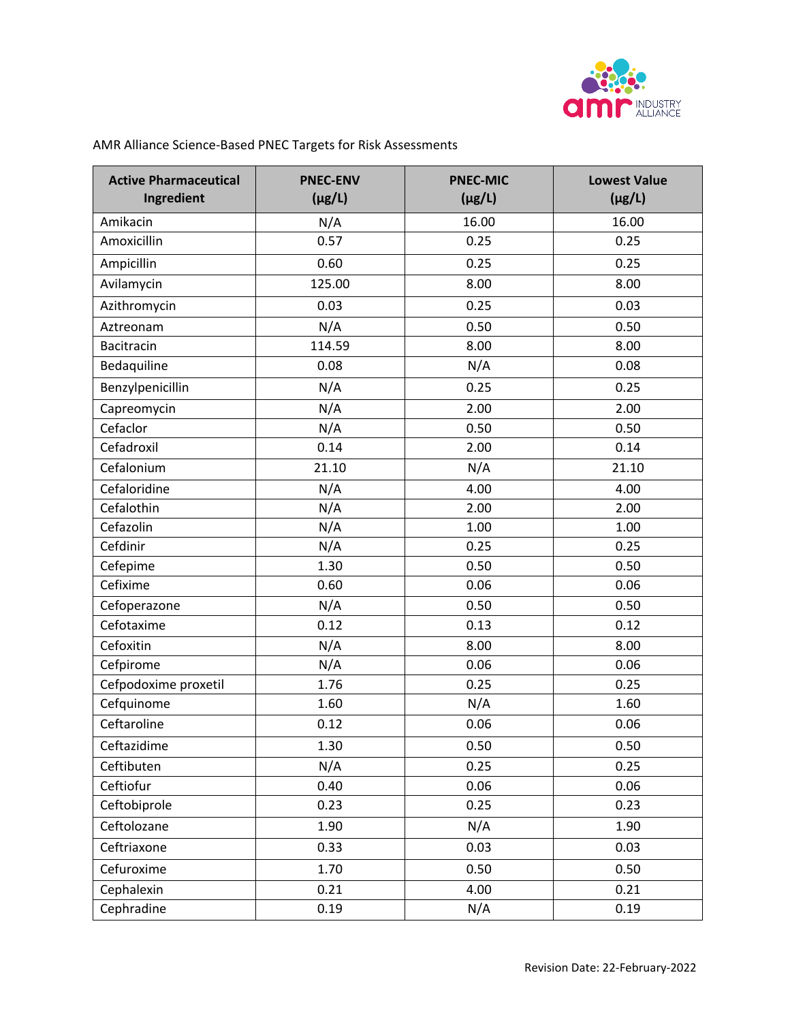

| <b>Active Pharmaceutical</b><br>Ingredient | <b>PNEC-ENV</b><br>$(\mu g/L)$ | <b>PNEC-MIC</b><br>$(\mu g/L)$ | <b>Lowest Value</b><br>$(\mu g/L)$ |
|--------------------------------------------|--------------------------------|--------------------------------|------------------------------------|
| Amikacin                                   | N/A                            | 16.00                          | 16.00                              |
| Amoxicillin                                | 0.57                           | 0.25                           | 0.25                               |
| Ampicillin                                 | 0.60                           | 0.25                           | 0.25                               |
| Avilamycin                                 | 125.00                         | 8.00                           | 8.00                               |
| Azithromycin                               | 0.03                           | 0.25                           | 0.03                               |
| Aztreonam                                  | N/A                            | 0.50                           | 0.50                               |
| Bacitracin                                 | 114.59                         | 8.00                           | 8.00                               |
| Bedaquiline                                | 0.08                           | N/A                            | 0.08                               |
| Benzylpenicillin                           | N/A                            | 0.25                           | 0.25                               |
| Capreomycin                                | N/A                            | 2.00                           | 2.00                               |
| Cefaclor                                   | N/A                            | 0.50                           | 0.50                               |
| Cefadroxil                                 | 0.14                           | 2.00                           | 0.14                               |
| Cefalonium                                 | 21.10                          | N/A                            | 21.10                              |
| Cefaloridine                               | N/A                            | 4.00                           | 4.00                               |
| Cefalothin                                 | N/A                            | 2.00                           | 2.00                               |
| Cefazolin                                  | N/A                            | 1.00                           | 1.00                               |
| Cefdinir                                   | N/A                            | 0.25                           | 0.25                               |
| Cefepime                                   | 1.30                           | 0.50                           | 0.50                               |
| Cefixime                                   | 0.60                           | 0.06                           | 0.06                               |
| Cefoperazone                               | N/A                            | 0.50                           | 0.50                               |
| Cefotaxime                                 | 0.12                           | 0.13                           | 0.12                               |
| Cefoxitin                                  | N/A                            | 8.00                           | 8.00                               |
| Cefpirome                                  | N/A                            | 0.06                           | 0.06                               |
| Cefpodoxime proxetil                       | 1.76                           | 0.25                           | 0.25                               |
| Cefquinome                                 | 1.60                           | N/A                            | 1.60                               |
| Ceftaroline                                | 0.12                           | 0.06                           | 0.06                               |
| Ceftazidime                                | 1.30                           | 0.50                           | 0.50                               |
| Ceftibuten                                 | N/A                            | 0.25                           | 0.25                               |
| Ceftiofur                                  | 0.40                           | 0.06                           | 0.06                               |
| Ceftobiprole                               | 0.23                           | 0.25                           | 0.23                               |
| Ceftolozane                                | 1.90                           | N/A                            | 1.90                               |
| Ceftriaxone                                | 0.33                           | 0.03                           | 0.03                               |
| Cefuroxime                                 | 1.70                           | 0.50                           | 0.50                               |
| Cephalexin                                 | 0.21                           | 4.00                           | 0.21                               |
| Cephradine                                 | 0.19                           | N/A                            | 0.19                               |

## AMR Alliance Science‐Based PNEC Targets for Risk Assessments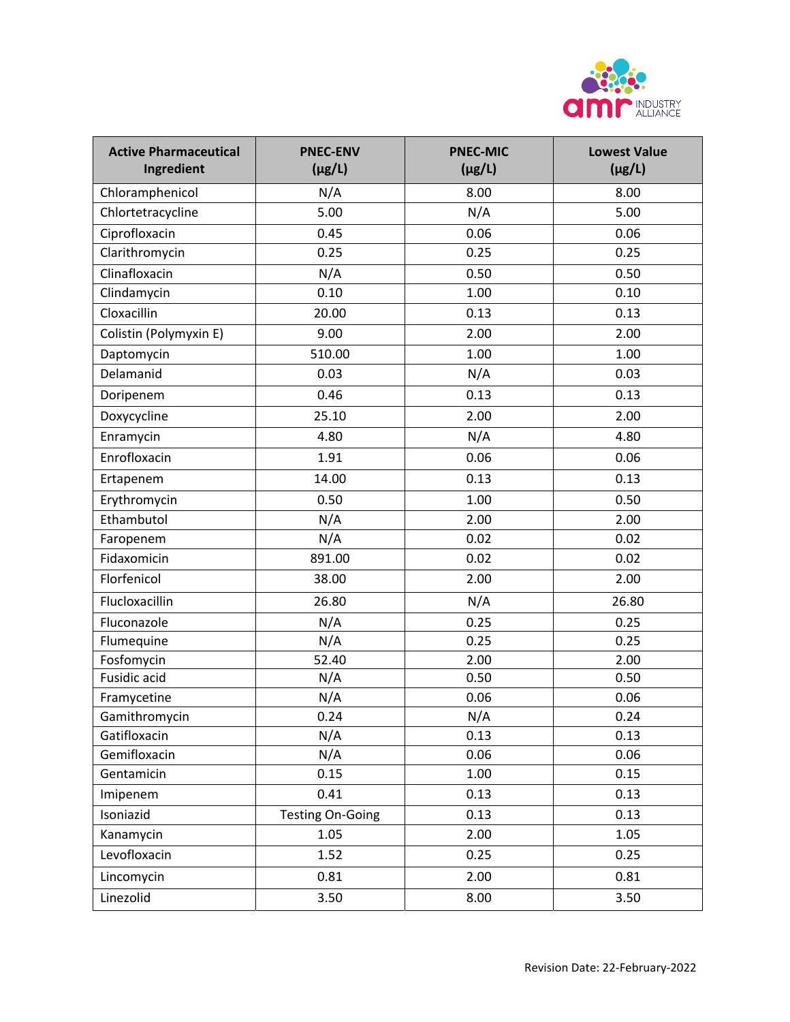

| <b>Active Pharmaceutical</b><br>Ingredient | <b>PNEC-ENV</b><br>$(\mu g/L)$ | <b>PNEC-MIC</b><br>$(\mu g/L)$ | <b>Lowest Value</b><br>$(\mu g/L)$ |
|--------------------------------------------|--------------------------------|--------------------------------|------------------------------------|
| Chloramphenicol                            | N/A                            | 8.00                           | 8.00                               |
| Chlortetracycline                          | 5.00                           | N/A                            | 5.00                               |
| Ciprofloxacin                              | 0.45                           | 0.06                           | 0.06                               |
| Clarithromycin                             | 0.25                           | 0.25                           | 0.25                               |
| Clinafloxacin                              | N/A                            | 0.50                           | 0.50                               |
| Clindamycin                                | 0.10                           | 1.00                           | 0.10                               |
| Cloxacillin                                | 20.00                          | 0.13                           | 0.13                               |
| Colistin (Polymyxin E)                     | 9.00                           | 2.00                           | 2.00                               |
| Daptomycin                                 | 510.00                         | 1.00                           | 1.00                               |
| Delamanid                                  | 0.03                           | N/A                            | 0.03                               |
| Doripenem                                  | 0.46                           | 0.13                           | 0.13                               |
| Doxycycline                                | 25.10                          | 2.00                           | 2.00                               |
| Enramycin                                  | 4.80                           | N/A                            | 4.80                               |
| Enrofloxacin                               | 1.91                           | 0.06                           | 0.06                               |
| Ertapenem                                  | 14.00                          | 0.13                           | 0.13                               |
| Erythromycin                               | 0.50                           | 1.00                           | 0.50                               |
| Ethambutol                                 | N/A                            | 2.00                           | 2.00                               |
| Faropenem                                  | N/A                            | 0.02                           | 0.02                               |
| Fidaxomicin                                | 891.00                         | 0.02                           | 0.02                               |
| Florfenicol                                | 38.00                          | 2.00                           | 2.00                               |
| Flucloxacillin                             | 26.80                          | N/A                            | 26.80                              |
| Fluconazole                                | N/A                            | 0.25                           | 0.25                               |
| Flumequine                                 | N/A                            | 0.25                           | 0.25                               |
| Fosfomycin                                 | 52.40                          | 2.00                           | 2.00                               |
| Fusidic acid                               | N/A                            | 0.50                           | 0.50                               |
| Framycetine                                | N/A                            | 0.06                           | 0.06                               |
| Gamithromycin                              | 0.24                           | N/A                            | 0.24                               |
| Gatifloxacin                               | N/A                            | 0.13                           | 0.13                               |
| Gemifloxacin                               | N/A                            | 0.06                           | 0.06                               |
| Gentamicin                                 | 0.15                           | 1.00                           | 0.15                               |
| Imipenem                                   | 0.41                           | 0.13                           | 0.13                               |
| Isoniazid                                  | <b>Testing On-Going</b>        | 0.13                           | 0.13                               |
| Kanamycin                                  | 1.05                           | 2.00                           | 1.05                               |
| Levofloxacin                               | 1.52                           | 0.25                           | 0.25                               |
| Lincomycin                                 | 0.81                           | 2.00                           | 0.81                               |
| Linezolid                                  | 3.50                           | 8.00                           | 3.50                               |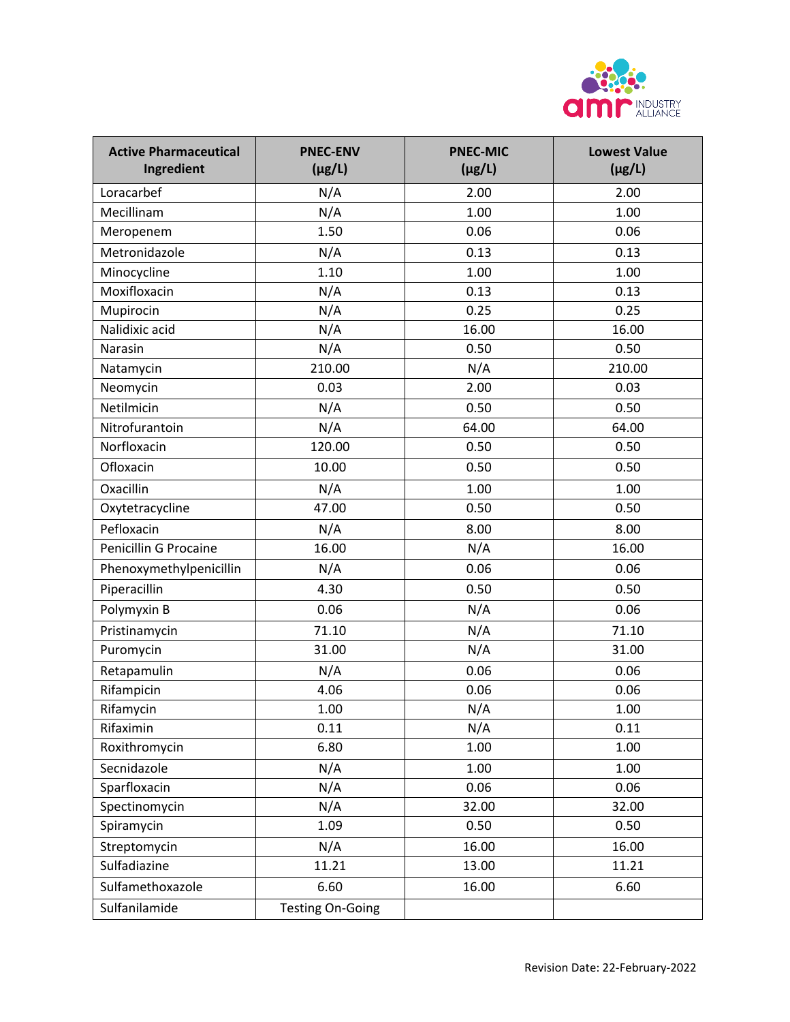

| <b>Active Pharmaceutical</b><br>Ingredient | <b>PNEC-ENV</b><br>$(\mu g/L)$ | <b>PNEC-MIC</b><br>$(\mu g/L)$ | <b>Lowest Value</b><br>$(\mu g/L)$ |
|--------------------------------------------|--------------------------------|--------------------------------|------------------------------------|
| Loracarbef                                 | N/A                            | 2.00                           | 2.00                               |
| Mecillinam                                 | N/A                            | 1.00                           | 1.00                               |
| Meropenem                                  | 1.50                           | 0.06                           | 0.06                               |
| Metronidazole                              | N/A                            | 0.13                           | 0.13                               |
| Minocycline                                | 1.10                           | 1.00                           | 1.00                               |
| Moxifloxacin                               | N/A                            | 0.13                           | 0.13                               |
| Mupirocin                                  | N/A                            | 0.25                           | 0.25                               |
| Nalidixic acid                             | N/A                            | 16.00                          | 16.00                              |
| Narasin                                    | N/A                            | 0.50                           | 0.50                               |
| Natamycin                                  | 210.00                         | N/A                            | 210.00                             |
| Neomycin                                   | 0.03                           | 2.00                           | 0.03                               |
| Netilmicin                                 | N/A                            | 0.50                           | 0.50                               |
| Nitrofurantoin                             | N/A                            | 64.00                          | 64.00                              |
| Norfloxacin                                | 120.00                         | 0.50                           | 0.50                               |
| Ofloxacin                                  | 10.00                          | 0.50                           | 0.50                               |
| Oxacillin                                  | N/A                            | 1.00                           | 1.00                               |
| Oxytetracycline                            | 47.00                          | 0.50                           | 0.50                               |
| Pefloxacin                                 | N/A                            | 8.00                           | 8.00                               |
| Penicillin G Procaine                      | 16.00                          | N/A                            | 16.00                              |
| Phenoxymethylpenicillin                    | N/A                            | 0.06                           | 0.06                               |
| Piperacillin                               | 4.30                           | 0.50                           | 0.50                               |
| Polymyxin B                                | 0.06                           | N/A                            | 0.06                               |
| Pristinamycin                              | 71.10                          | N/A                            | 71.10                              |
| Puromycin                                  | 31.00                          | N/A                            | 31.00                              |
| Retapamulin                                | N/A                            | 0.06                           | 0.06                               |
| Rifampicin                                 | 4.06                           | 0.06                           | 0.06                               |
| Rifamycin                                  | 1.00                           | N/A                            | 1.00                               |
| Rifaximin                                  | 0.11                           | N/A                            | 0.11                               |
| Roxithromycin                              | 6.80                           | 1.00                           | 1.00                               |
| Secnidazole                                | N/A                            | 1.00                           | 1.00                               |
| Sparfloxacin                               | N/A                            | 0.06                           | 0.06                               |
| Spectinomycin                              | N/A                            | 32.00                          | 32.00                              |
| Spiramycin                                 | 1.09                           | 0.50                           | 0.50                               |
| Streptomycin                               | N/A                            | 16.00                          | 16.00                              |
| Sulfadiazine                               | 11.21                          | 13.00                          | 11.21                              |
| Sulfamethoxazole                           | 6.60                           | 16.00                          | 6.60                               |
| Sulfanilamide                              | <b>Testing On-Going</b>        |                                |                                    |